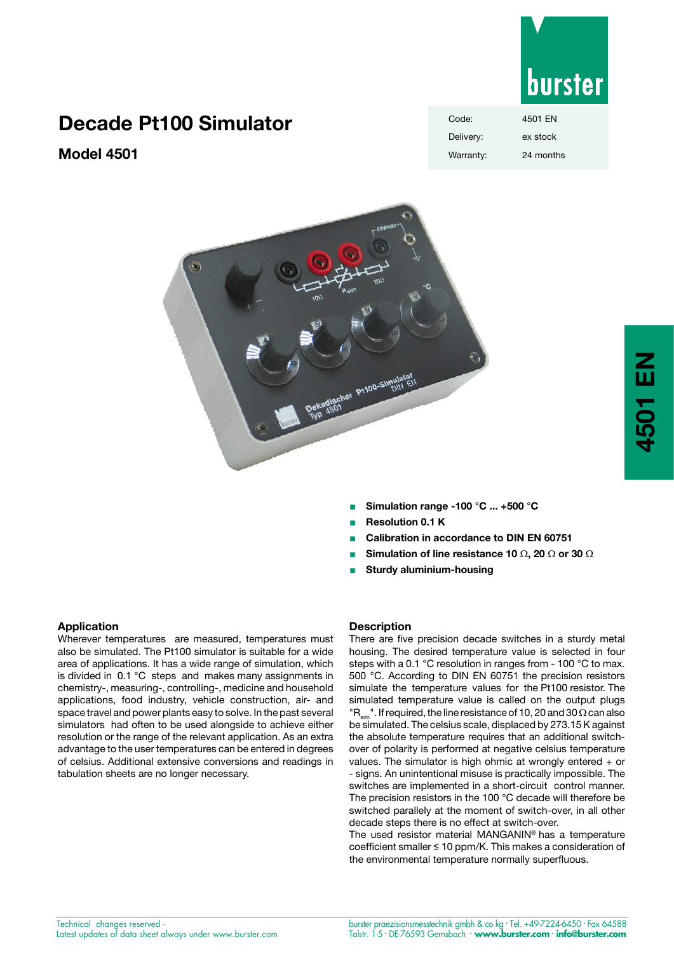

# **Decade Pt100 Simulator**

**Model 4501**

| Code:     | 4501 EN   |
|-----------|-----------|
| Delivery: | ex stock  |
| Warranty: | 24 months |



- <sup>n</sup> **Simulation range -100 °C ... +500 °C**
- <sup>n</sup> **Resolution 0.1 K**
- <sup>n</sup> **Calibration in accordance to DIN EN 60751**
- <sup>n</sup> **Simulation of line resistance 10** Ω**, 20** Ω **or 30** Ω
- **Sturdy aluminium-housing**

### **Application**

Wherever temperatures are measured, temperatures must also be simulated. The Pt100 simulator is suitable for a wide area of applications. It has a wide range of simulation, which is divided in 0.1 °C steps and makes many assignments in chemistry-, measuring-, controlling-, medicine and household applications, food industry, vehicle construction, air- and space travel and power plants easy to solve. In the past several simulators had often to be used alongside to achieve either resolution or the range of the relevant application. As an extra advantage to the user temperatures can be entered in degrees of celsius. Additional extensive conversions and readings in tabulation sheets are no longer necessary.

#### **Description**

There are five precision decade switches in a sturdy metal housing. The desired temperature value is selected in four steps with a 0.1 °C resolution in ranges from - 100 °C to max. 500 °C. According to DIN EN 60751 the precision resistors simulate the temperature values for the Pt100 resistor. The simulated temperature value is called on the output plugs  $\overline{R}_{\text{max}}$ ". If required, the line resistance of 10, 20 and 30  $\Omega$  can also be simulated. The celsius scale, displaced by 273.15 K against the absolute temperature requires that an additional switchover of polarity is performed at negative celsius temperature values. The simulator is high ohmic at wrongly entered  $+$  or - signs. An unintentional misuse is practically impossible. The switches are implemented in a short-circuit control manner. The precision resistors in the 100 °C decade will therefore be switched parallely at the moment of switch-over, in all other decade steps there is no effect at switch-over.

The used resistor material MANGANIN® has a temperature coefficient smaller ≤ 10 ppm/K. This makes a consideration of the environmental temperature normally superfluous.